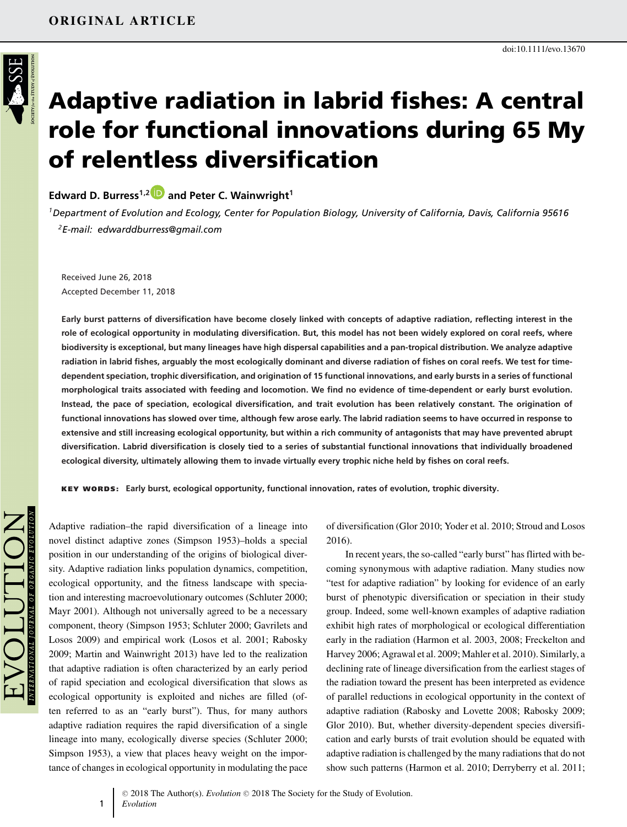

# **Adaptive radiation in labrid fishes: A central role for functional innovations during 65 My of relentless diversification**

**Edward D. Burress1,[2](https://orcid.org/0000-0002-7498-7229) and Peter C. Wainwright<sup>1</sup>**

*1Department of Evolution and Ecology, Center for Population Biology, University of California, Davis, California 95616 2E-mail: edwarddburress@gmail.com*

Received June 26, 2018 Accepted December 11, 2018

**Early burst patterns of diversification have become closely linked with concepts of adaptive radiation, reflecting interest in the role of ecological opportunity in modulating diversification. But, this model has not been widely explored on coral reefs, where biodiversity is exceptional, but many lineages have high dispersal capabilities and a pan-tropical distribution. We analyze adaptive radiation in labrid fishes, arguably the most ecologically dominant and diverse radiation of fishes on coral reefs. We test for timedependent speciation, trophic diversification, and origination of 15 functional innovations, and early bursts in a series of functional morphological traits associated with feeding and locomotion. We find no evidence of time-dependent or early burst evolution. Instead, the pace of speciation, ecological diversification, and trait evolution has been relatively constant. The origination of functional innovations has slowed over time, although few arose early. The labrid radiation seems to have occurred in response to extensive and still increasing ecological opportunity, but within a rich community of antagonists that may have prevented abrupt diversification. Labrid diversification is closely tied to a series of substantial functional innovations that individually broadened ecological diversity, ultimately allowing them to invade virtually every trophic niche held by fishes on coral reefs.**

**KEY WORDS: Early burst, ecological opportunity, functional innovation, rates of evolution, trophic diversity.**

Adaptive radiation–the rapid diversification of a lineage into novel distinct adaptive zones (Simpson 1953)–holds a special position in our understanding of the origins of biological diversity. Adaptive radiation links population dynamics, competition, ecological opportunity, and the fitness landscape with speciation and interesting macroevolutionary outcomes (Schluter 2000; Mayr 2001). Although not universally agreed to be a necessary component, theory (Simpson 1953; Schluter 2000; Gavrilets and Losos 2009) and empirical work (Losos et al. 2001; Rabosky 2009; Martin and Wainwright 2013) have led to the realization that adaptive radiation is often characterized by an early period of rapid speciation and ecological diversification that slows as ecological opportunity is exploited and niches are filled (often referred to as an "early burst"). Thus, for many authors adaptive radiation requires the rapid diversification of a single lineage into many, ecologically diverse species (Schluter 2000; Simpson 1953), a view that places heavy weight on the importance of changes in ecological opportunity in modulating the pace

of diversification (Glor 2010; Yoder et al. 2010; Stroud and Losos 2016).

In recent years, the so-called "early burst" has flirted with becoming synonymous with adaptive radiation. Many studies now "test for adaptive radiation" by looking for evidence of an early burst of phenotypic diversification or speciation in their study group. Indeed, some well-known examples of adaptive radiation exhibit high rates of morphological or ecological differentiation early in the radiation (Harmon et al. 2003, 2008; Freckelton and Harvey 2006; Agrawal et al. 2009; Mahler et al. 2010). Similarly, a declining rate of lineage diversification from the earliest stages of the radiation toward the present has been interpreted as evidence of parallel reductions in ecological opportunity in the context of adaptive radiation (Rabosky and Lovette 2008; Rabosky 2009; Glor 2010). But, whether diversity-dependent species diversification and early bursts of trait evolution should be equated with adaptive radiation is challenged by the many radiations that do not show such patterns (Harmon et al. 2010; Derryberry et al. 2011;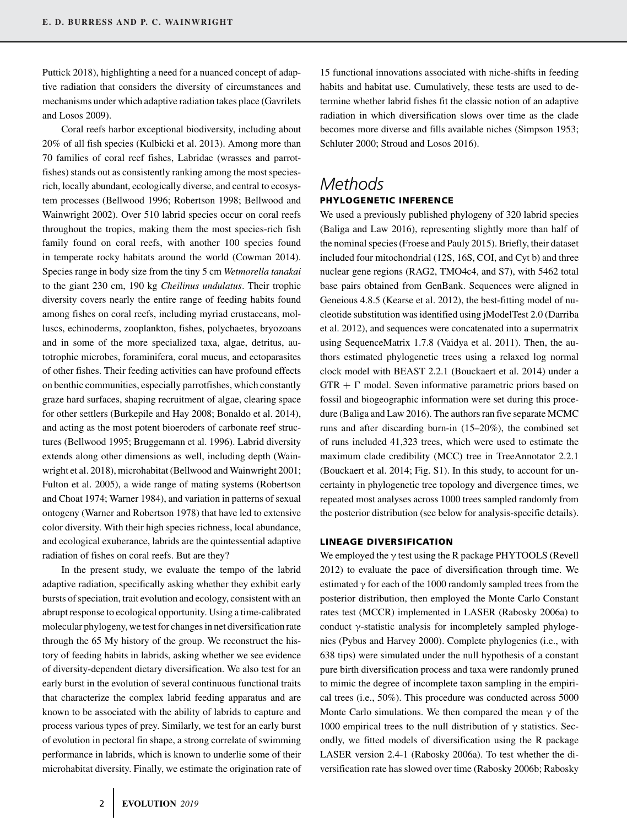Puttick 2018), highlighting a need for a nuanced concept of adaptive radiation that considers the diversity of circumstances and mechanisms under which adaptive radiation takes place (Gavrilets and Losos 2009).

Coral reefs harbor exceptional biodiversity, including about 20% of all fish species (Kulbicki et al. 2013). Among more than 70 families of coral reef fishes, Labridae (wrasses and parrotfishes) stands out as consistently ranking among the most speciesrich, locally abundant, ecologically diverse, and central to ecosystem processes (Bellwood 1996; Robertson 1998; Bellwood and Wainwright 2002). Over 510 labrid species occur on coral reefs throughout the tropics, making them the most species-rich fish family found on coral reefs, with another 100 species found in temperate rocky habitats around the world (Cowman 2014). Species range in body size from the tiny 5 cm *Wetmorella tanakai* to the giant 230 cm, 190 kg *Cheilinus undulatus*. Their trophic diversity covers nearly the entire range of feeding habits found among fishes on coral reefs, including myriad crustaceans, molluscs, echinoderms, zooplankton, fishes, polychaetes, bryozoans and in some of the more specialized taxa, algae, detritus, autotrophic microbes, foraminifera, coral mucus, and ectoparasites of other fishes. Their feeding activities can have profound effects on benthic communities, especially parrotfishes, which constantly graze hard surfaces, shaping recruitment of algae, clearing space for other settlers (Burkepile and Hay 2008; Bonaldo et al. 2014), and acting as the most potent bioeroders of carbonate reef structures (Bellwood 1995; Bruggemann et al. 1996). Labrid diversity extends along other dimensions as well, including depth (Wainwright et al. 2018), microhabitat (Bellwood and Wainwright 2001; Fulton et al. 2005), a wide range of mating systems (Robertson and Choat 1974; Warner 1984), and variation in patterns of sexual ontogeny (Warner and Robertson 1978) that have led to extensive color diversity. With their high species richness, local abundance, and ecological exuberance, labrids are the quintessential adaptive radiation of fishes on coral reefs. But are they?

In the present study, we evaluate the tempo of the labrid adaptive radiation, specifically asking whether they exhibit early bursts of speciation, trait evolution and ecology, consistent with an abrupt response to ecological opportunity. Using a time-calibrated molecular phylogeny, we test for changes in net diversification rate through the 65 My history of the group. We reconstruct the history of feeding habits in labrids, asking whether we see evidence of diversity-dependent dietary diversification. We also test for an early burst in the evolution of several continuous functional traits that characterize the complex labrid feeding apparatus and are known to be associated with the ability of labrids to capture and process various types of prey. Similarly, we test for an early burst of evolution in pectoral fin shape, a strong correlate of swimming performance in labrids, which is known to underlie some of their microhabitat diversity. Finally, we estimate the origination rate of 15 functional innovations associated with niche-shifts in feeding habits and habitat use. Cumulatively, these tests are used to determine whether labrid fishes fit the classic notion of an adaptive radiation in which diversification slows over time as the clade becomes more diverse and fills available niches (Simpson 1953; Schluter 2000; Stroud and Losos 2016).

### *Methods* **PHYLOGENETIC INFERENCE**

We used a previously published phylogeny of 320 labrid species (Baliga and Law 2016), representing slightly more than half of the nominal species (Froese and Pauly 2015). Briefly, their dataset included four mitochondrial (12S, 16S, COI, and Cyt b) and three nuclear gene regions (RAG2, TMO4c4, and S7), with 5462 total base pairs obtained from GenBank. Sequences were aligned in Geneious 4.8.5 (Kearse et al. 2012), the best-fitting model of nucleotide substitution was identified using jModelTest 2.0 (Darriba et al. 2012), and sequences were concatenated into a supermatrix using SequenceMatrix 1.7.8 (Vaidya et al. 2011). Then, the authors estimated phylogenetic trees using a relaxed log normal clock model with BEAST 2.2.1 (Bouckaert et al. 2014) under a  $GTR + \Gamma$  model. Seven informative parametric priors based on fossil and biogeographic information were set during this procedure (Baliga and Law 2016). The authors ran five separate MCMC runs and after discarding burn-in (15–20%), the combined set of runs included 41,323 trees, which were used to estimate the maximum clade credibility (MCC) tree in TreeAnnotator 2.2.1 (Bouckaert et al. 2014; Fig. S1). In this study, to account for uncertainty in phylogenetic tree topology and divergence times, we repeated most analyses across 1000 trees sampled randomly from the posterior distribution (see below for analysis-specific details).

### **LINEAGE DIVERSIFICATION**

We employed the  $\gamma$  test using the R package PHYTOOLS (Revell 2012) to evaluate the pace of diversification through time. We estimated  $\gamma$  for each of the 1000 randomly sampled trees from the posterior distribution, then employed the Monte Carlo Constant rates test (MCCR) implemented in LASER (Rabosky 2006a) to conduct γ-statistic analysis for incompletely sampled phylogenies (Pybus and Harvey 2000). Complete phylogenies (i.e., with 638 tips) were simulated under the null hypothesis of a constant pure birth diversification process and taxa were randomly pruned to mimic the degree of incomplete taxon sampling in the empirical trees (i.e., 50%). This procedure was conducted across 5000 Monte Carlo simulations. We then compared the mean  $\gamma$  of the 1000 empirical trees to the null distribution of  $γ$  statistics. Secondly, we fitted models of diversification using the R package LASER version 2.4-1 (Rabosky 2006a). To test whether the diversification rate has slowed over time (Rabosky 2006b; Rabosky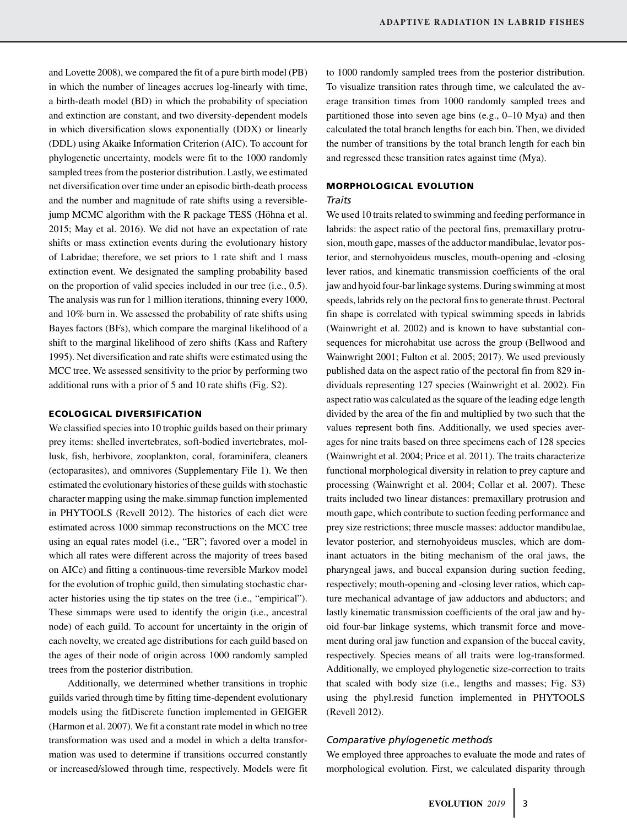and Lovette 2008), we compared the fit of a pure birth model (PB) in which the number of lineages accrues log-linearly with time, a birth-death model (BD) in which the probability of speciation and extinction are constant, and two diversity-dependent models in which diversification slows exponentially (DDX) or linearly (DDL) using Akaike Information Criterion (AIC). To account for phylogenetic uncertainty, models were fit to the 1000 randomly sampled trees from the posterior distribution. Lastly, we estimated net diversification over time under an episodic birth-death process and the number and magnitude of rate shifts using a reversiblejump MCMC algorithm with the R package TESS (Höhna et al. 2015; May et al. 2016). We did not have an expectation of rate shifts or mass extinction events during the evolutionary history of Labridae; therefore, we set priors to 1 rate shift and 1 mass extinction event. We designated the sampling probability based on the proportion of valid species included in our tree (i.e., 0.5). The analysis was run for 1 million iterations, thinning every 1000, and 10% burn in. We assessed the probability of rate shifts using Bayes factors (BFs), which compare the marginal likelihood of a shift to the marginal likelihood of zero shifts (Kass and Raftery 1995). Net diversification and rate shifts were estimated using the MCC tree. We assessed sensitivity to the prior by performing two additional runs with a prior of 5 and 10 rate shifts (Fig. S2).

### **ECOLOGICAL DIVERSIFICATION**

We classified species into 10 trophic guilds based on their primary prey items: shelled invertebrates, soft-bodied invertebrates, mollusk, fish, herbivore, zooplankton, coral, foraminifera, cleaners (ectoparasites), and omnivores (Supplementary File 1). We then estimated the evolutionary histories of these guilds with stochastic character mapping using the make.simmap function implemented in PHYTOOLS (Revell 2012). The histories of each diet were estimated across 1000 simmap reconstructions on the MCC tree using an equal rates model (i.e., "ER"; favored over a model in which all rates were different across the majority of trees based on AICc) and fitting a continuous-time reversible Markov model for the evolution of trophic guild, then simulating stochastic character histories using the tip states on the tree (i.e., "empirical"). These simmaps were used to identify the origin (i.e., ancestral node) of each guild. To account for uncertainty in the origin of each novelty, we created age distributions for each guild based on the ages of their node of origin across 1000 randomly sampled trees from the posterior distribution.

Additionally, we determined whether transitions in trophic guilds varied through time by fitting time-dependent evolutionary models using the fitDiscrete function implemented in GEIGER (Harmon et al. 2007). We fit a constant rate model in which no tree transformation was used and a model in which a delta transformation was used to determine if transitions occurred constantly or increased/slowed through time, respectively. Models were fit to 1000 randomly sampled trees from the posterior distribution. To visualize transition rates through time, we calculated the average transition times from 1000 randomly sampled trees and partitioned those into seven age bins (e.g., 0–10 Mya) and then calculated the total branch lengths for each bin. Then, we divided the number of transitions by the total branch length for each bin and regressed these transition rates against time (Mya).

### **MORPHOLOGICAL EVOLUTION**

### *Traits*

We used 10 traits related to swimming and feeding performance in labrids: the aspect ratio of the pectoral fins, premaxillary protrusion, mouth gape, masses of the adductor mandibulae, levator posterior, and sternohyoideus muscles, mouth-opening and -closing lever ratios, and kinematic transmission coefficients of the oral jaw and hyoid four-bar linkage systems. During swimming at most speeds, labrids rely on the pectoral fins to generate thrust. Pectoral fin shape is correlated with typical swimming speeds in labrids (Wainwright et al. 2002) and is known to have substantial consequences for microhabitat use across the group (Bellwood and Wainwright 2001; Fulton et al. 2005; 2017). We used previously published data on the aspect ratio of the pectoral fin from 829 individuals representing 127 species (Wainwright et al. 2002). Fin aspect ratio was calculated as the square of the leading edge length divided by the area of the fin and multiplied by two such that the values represent both fins. Additionally, we used species averages for nine traits based on three specimens each of 128 species (Wainwright et al. 2004; Price et al. 2011). The traits characterize functional morphological diversity in relation to prey capture and processing (Wainwright et al. 2004; Collar et al. 2007). These traits included two linear distances: premaxillary protrusion and mouth gape, which contribute to suction feeding performance and prey size restrictions; three muscle masses: adductor mandibulae, levator posterior, and sternohyoideus muscles, which are dominant actuators in the biting mechanism of the oral jaws, the pharyngeal jaws, and buccal expansion during suction feeding, respectively; mouth-opening and -closing lever ratios, which capture mechanical advantage of jaw adductors and abductors; and lastly kinematic transmission coefficients of the oral jaw and hyoid four-bar linkage systems, which transmit force and movement during oral jaw function and expansion of the buccal cavity, respectively. Species means of all traits were log-transformed. Additionally, we employed phylogenetic size-correction to traits that scaled with body size (i.e., lengths and masses; Fig. S3) using the phyl.resid function implemented in PHYTOOLS (Revell 2012).

### *Comparative phylogenetic methods*

We employed three approaches to evaluate the mode and rates of morphological evolution. First, we calculated disparity through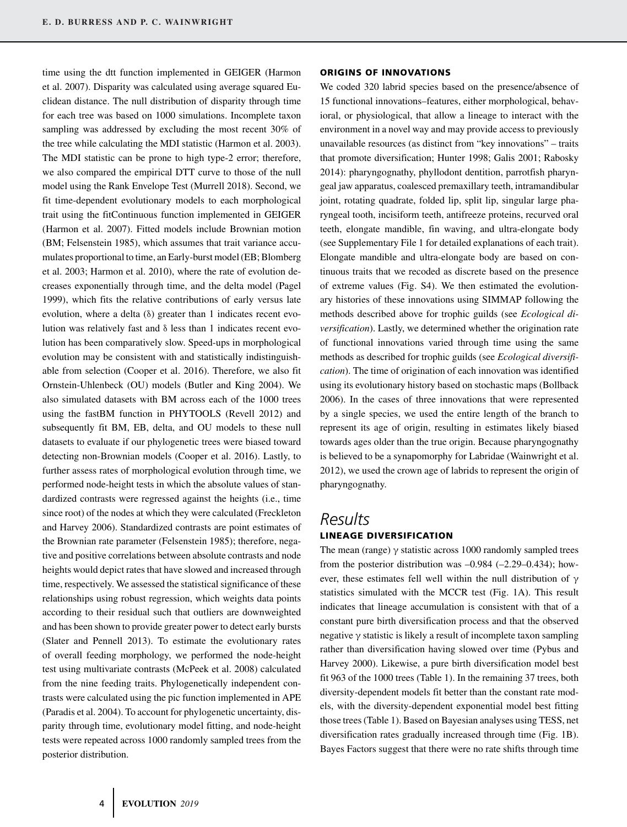time using the dtt function implemented in GEIGER (Harmon et al. 2007). Disparity was calculated using average squared Euclidean distance. The null distribution of disparity through time for each tree was based on 1000 simulations. Incomplete taxon sampling was addressed by excluding the most recent 30% of the tree while calculating the MDI statistic (Harmon et al. 2003). The MDI statistic can be prone to high type-2 error; therefore, we also compared the empirical DTT curve to those of the null model using the Rank Envelope Test (Murrell 2018). Second, we fit time-dependent evolutionary models to each morphological trait using the fitContinuous function implemented in GEIGER (Harmon et al. 2007). Fitted models include Brownian motion (BM; Felsenstein 1985), which assumes that trait variance accumulates proportional to time, an Early-burst model (EB; Blomberg et al. 2003; Harmon et al. 2010), where the rate of evolution decreases exponentially through time, and the delta model (Pagel 1999), which fits the relative contributions of early versus late evolution, where a delta (δ) greater than 1 indicates recent evolution was relatively fast and δ less than 1 indicates recent evolution has been comparatively slow. Speed-ups in morphological evolution may be consistent with and statistically indistinguishable from selection (Cooper et al. 2016). Therefore, we also fit Ornstein-Uhlenbeck (OU) models (Butler and King 2004). We also simulated datasets with BM across each of the 1000 trees using the fastBM function in PHYTOOLS (Revell 2012) and subsequently fit BM, EB, delta, and OU models to these null datasets to evaluate if our phylogenetic trees were biased toward detecting non-Brownian models (Cooper et al. 2016). Lastly, to further assess rates of morphological evolution through time, we performed node-height tests in which the absolute values of standardized contrasts were regressed against the heights (i.e., time since root) of the nodes at which they were calculated (Freckleton and Harvey 2006). Standardized contrasts are point estimates of the Brownian rate parameter (Felsenstein 1985); therefore, negative and positive correlations between absolute contrasts and node heights would depict rates that have slowed and increased through time, respectively. We assessed the statistical significance of these relationships using robust regression, which weights data points according to their residual such that outliers are downweighted and has been shown to provide greater power to detect early bursts (Slater and Pennell 2013). To estimate the evolutionary rates of overall feeding morphology, we performed the node-height test using multivariate contrasts (McPeek et al. 2008) calculated from the nine feeding traits. Phylogenetically independent contrasts were calculated using the pic function implemented in APE (Paradis et al. 2004). To account for phylogenetic uncertainty, disparity through time, evolutionary model fitting, and node-height tests were repeated across 1000 randomly sampled trees from the posterior distribution.

#### **ORIGINS OF INNOVATIONS**

We coded 320 labrid species based on the presence/absence of 15 functional innovations–features, either morphological, behavioral, or physiological, that allow a lineage to interact with the environment in a novel way and may provide access to previously unavailable resources (as distinct from "key innovations" – traits that promote diversification; Hunter 1998; Galis 2001; Rabosky 2014): pharyngognathy, phyllodont dentition, parrotfish pharyngeal jaw apparatus, coalesced premaxillary teeth, intramandibular joint, rotating quadrate, folded lip, split lip, singular large pharyngeal tooth, incisiform teeth, antifreeze proteins, recurved oral teeth, elongate mandible, fin waving, and ultra-elongate body (see Supplementary File 1 for detailed explanations of each trait). Elongate mandible and ultra-elongate body are based on continuous traits that we recoded as discrete based on the presence of extreme values (Fig. S4). We then estimated the evolutionary histories of these innovations using SIMMAP following the methods described above for trophic guilds (see *Ecological diversification*). Lastly, we determined whether the origination rate of functional innovations varied through time using the same methods as described for trophic guilds (see *Ecological diversification*). The time of origination of each innovation was identified using its evolutionary history based on stochastic maps (Bollback 2006). In the cases of three innovations that were represented by a single species, we used the entire length of the branch to represent its age of origin, resulting in estimates likely biased towards ages older than the true origin. Because pharyngognathy is believed to be a synapomorphy for Labridae (Wainwright et al. 2012), we used the crown age of labrids to represent the origin of pharyngognathy.

### *Results* **LINEAGE DIVERSIFICATION**

The mean (range)  $\gamma$  statistic across 1000 randomly sampled trees from the posterior distribution was –0.984 (–2.29–0.434); however, these estimates fell well within the null distribution of γ statistics simulated with the MCCR test (Fig. 1A). This result indicates that lineage accumulation is consistent with that of a constant pure birth diversification process and that the observed negative γ statistic is likely a result of incomplete taxon sampling rather than diversification having slowed over time (Pybus and Harvey 2000). Likewise, a pure birth diversification model best fit 963 of the 1000 trees (Table 1). In the remaining 37 trees, both diversity-dependent models fit better than the constant rate models, with the diversity-dependent exponential model best fitting those trees (Table 1). Based on Bayesian analyses using TESS, net diversification rates gradually increased through time (Fig. 1B). Bayes Factors suggest that there were no rate shifts through time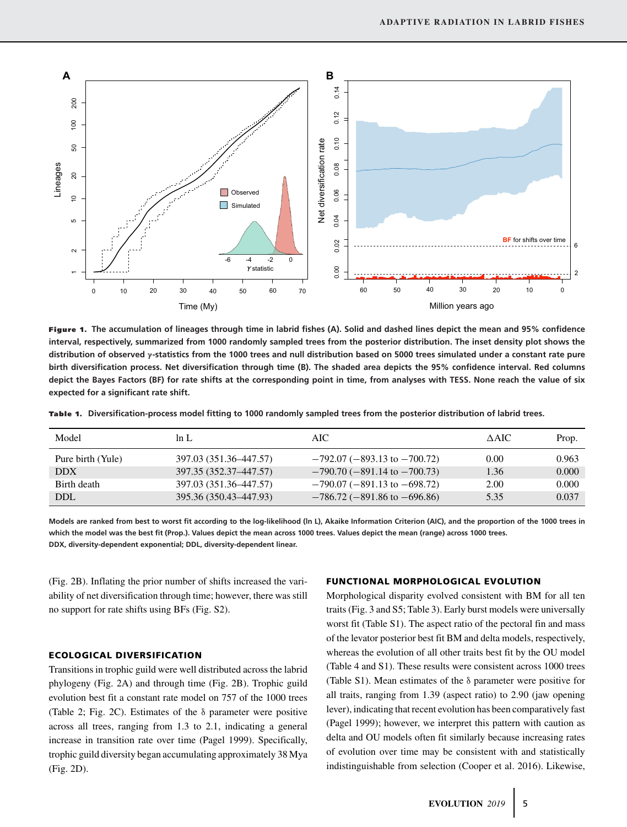

**Figure 1. The accumulation of lineages through time in labrid fishes (A). Solid and dashed lines depict the mean and 95% confidence interval, respectively, summarized from 1000 randomly sampled trees from the posterior distribution. The inset density plot shows the distribution of observed γ-statistics from the 1000 trees and null distribution based on 5000 trees simulated under a constant rate pure birth diversification process. Net diversification through time (B). The shaded area depicts the 95% confidence interval. Red columns depict the Bayes Factors (BF) for rate shifts at the corresponding point in time, from analyses with TESS. None reach the value of six expected for a significant rate shift.**

**Tab le 1 . Diversification-process model fitting to 1000 randomly sampled trees from the posterior distribution of labrid trees.**

| Model             | ln L                   | AIC.                                 | $\triangle$ AIC | Prop. |
|-------------------|------------------------|--------------------------------------|-----------------|-------|
| Pure birth (Yule) | 397.03 (351.36-447.57) | $-792.07 (-893.13$ to $-700.72)$     | 0.00            | 0.963 |
| <b>DDX</b>        | 397.35 (352.37-447.57) | $-790.70$ ( $-891.14$ to $-700.73$ ) | 1.36            | 0.000 |
| Birth death       | 397.03 (351.36-447.57) | $-790.07$ ( $-891.13$ to $-698.72$ ) | 2.00            | 0.000 |
| <b>DDL</b>        | 395.36 (350.43–447.93) | $-786.72$ ( $-891.86$ to $-696.86$ ) | 5.35            | 0.037 |

**Models are ranked from best to worst fit according to the log-likelihood (ln L), Akaike Information Criterion (AIC), and the proportion of the 1000 trees in which the model was the best fit (Prop.). Values depict the mean across 1000 trees. Values depict the mean (range) across 1000 trees. DDX, diversity-dependent exponential; DDL, diversity-dependent linear.**

(Fig. 2B). Inflating the prior number of shifts increased the variability of net diversification through time; however, there was still no support for rate shifts using BFs (Fig. S2).

### **ECOLOGICAL DIVERSIFICATION**

Transitions in trophic guild were well distributed across the labrid phylogeny (Fig. 2A) and through time (Fig. 2B). Trophic guild evolution best fit a constant rate model on 757 of the 1000 trees (Table 2; Fig. 2C). Estimates of the δ parameter were positive across all trees, ranging from 1.3 to 2.1, indicating a general increase in transition rate over time (Pagel 1999). Specifically, trophic guild diversity began accumulating approximately 38 Mya (Fig. 2D).

#### **FUNCTIONAL MORPHOLOGICAL EVOLUTION**

Morphological disparity evolved consistent with BM for all ten traits (Fig. 3 and S5; Table 3). Early burst models were universally worst fit (Table S1). The aspect ratio of the pectoral fin and mass of the levator posterior best fit BM and delta models, respectively, whereas the evolution of all other traits best fit by the OU model (Table 4 and S1). These results were consistent across 1000 trees (Table S1). Mean estimates of the δ parameter were positive for all traits, ranging from 1.39 (aspect ratio) to 2.90 (jaw opening lever), indicating that recent evolution has been comparatively fast (Pagel 1999); however, we interpret this pattern with caution as delta and OU models often fit similarly because increasing rates of evolution over time may be consistent with and statistically indistinguishable from selection (Cooper et al. 2016). Likewise,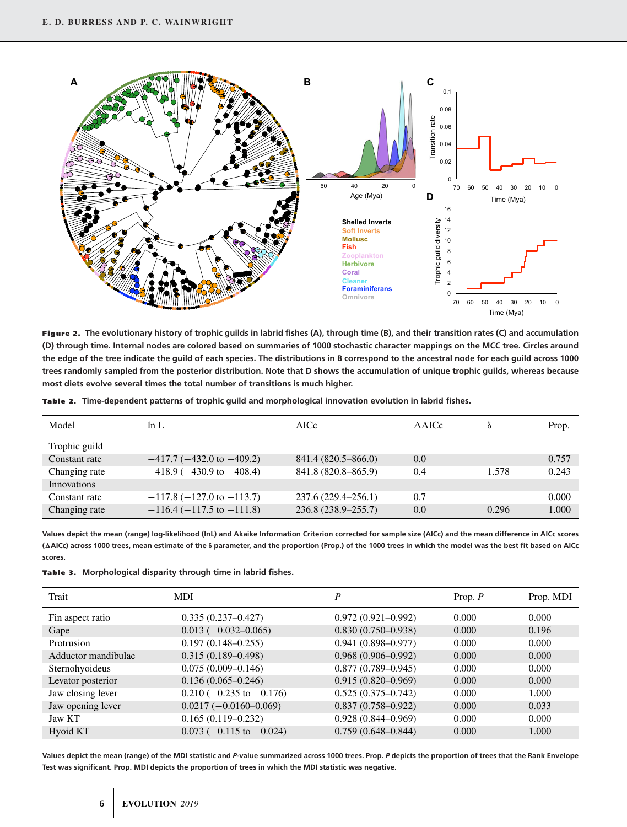

**Figure 2. The evolutionary history of trophic guilds in labrid fishes (A), through time (B), and their transition rates (C) and accumulation (D) through time. Internal nodes are colored based on summaries of 1000 stochastic character mappings on the MCC tree. Circles around the edge of the tree indicate the guild of each species. The distributions in B correspond to the ancestral node for each guild across 1000 trees randomly sampled from the posterior distribution. Note that D shows the accumulation of unique trophic guilds, whereas because most diets evolve several times the total number of transitions is much higher.**

| mer | $ -$ |  |  |
|-----|------|--|--|

**Tab le 2 . Time-dependent patterns of trophic guild and morphological innovation evolution in labrid fishes.**

| Model         | ln L                              | AICc                   | $\triangle$ AICc |       | Prop. |
|---------------|-----------------------------------|------------------------|------------------|-------|-------|
| Trophic guild |                                   |                        |                  |       |       |
| Constant rate | $-417.7$ ( $-432.0$ to $-409.2$ ) | 841.4 (820.5–866.0)    | 0.0              |       | 0.757 |
| Changing rate | $-418.9$ ( $-430.9$ to $-408.4$ ) | 841.8 (820.8–865.9)    | 0.4              | 1.578 | 0.243 |
| Innovations   |                                   |                        |                  |       |       |
| Constant rate | $-117.8$ ( $-127.0$ to $-113.7$ ) | 237.6 (229.4–256.1)    | 0.7              |       | 0.000 |
| Changing rate | $-116.4$ ( $-117.5$ to $-111.8$ ) | $236.8(238.9 - 255.7)$ | 0.0              | 0.296 | 1.000 |

**Values depict the mean (range) log-likelihood (lnL) and Akaike Information Criterion corrected for sample size (AICc) and the mean difference in AICc scores (AICc) across 1000 trees, mean estimate of the δ parameter, and the proportion (Prop.) of the 1000 trees in which the model was the best fit based on AICc scores.**

|  |  | Table 3. Morphological disparity through time in labrid fishes. |  |  |  |  |  |
|--|--|-----------------------------------------------------------------|--|--|--|--|--|
|--|--|-----------------------------------------------------------------|--|--|--|--|--|

| Trait               | <b>MDI</b>                        | P                      | Prop. $P$ | Prop. MDI |
|---------------------|-----------------------------------|------------------------|-----------|-----------|
| Fin aspect ratio    | $0.335(0.237-0.427)$              | $0.972(0.921-0.992)$   | 0.000     | 0.000     |
| Gape                | $0.013 (-0.032 - 0.065)$          | $0.830(0.750 - 0.938)$ | 0.000     | 0.196     |
| Protrusion          | $0.197(0.148 - 0.255)$            | $0.941(0.898 - 0.977)$ | 0.000     | 0.000     |
| Adductor mandibulae | $0.315(0.189 - 0.498)$            | $0.968(0.906 - 0.992)$ | 0.000     | 0.000     |
| Sternohyoideus      | $0.075(0.009 - 0.146)$            | $0.877(0.789 - 0.945)$ | 0.000     | 0.000     |
| Levator posterior   | $0.136(0.065 - 0.246)$            | $0.915(0.820 - 0.969)$ | 0.000     | 0.000     |
| Jaw closing lever   | $-0.210$ ( $-0.235$ to $-0.176$ ) | $0.525(0.375 - 0.742)$ | 0.000     | 1.000     |
| Jaw opening lever   | $0.0217 (-0.0160 - 0.069)$        | $0.837(0.758 - 0.922)$ | 0.000     | 0.033     |
| Jaw KT              | $0.165(0.119-0.232)$              | $0.928(0.844 - 0.969)$ | 0.000     | 0.000     |
| Hyoid KT            | $-0.073$ ( $-0.115$ to $-0.024$ ) | $0.759(0.648 - 0.844)$ | 0.000     | 1.000     |

**Values depict the mean (range) of the MDI statistic and** *P***-value summarized across 1000 trees. Prop.** *P* **depicts the proportion of trees that the Rank Envelope Test was significant. Prop. MDI depicts the proportion of trees in which the MDI statistic was negative.**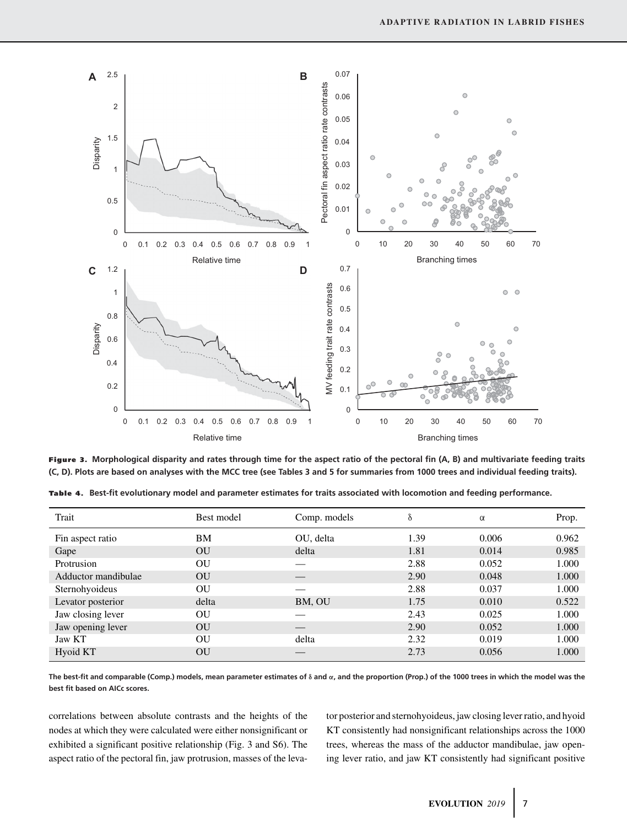

**Figure 3. Morphological disparity and rates through time for the aspect ratio of the pectoral fin (A, B) and multivariate feeding traits (C, D). Plots are based on analyses with the MCC tree (see Tables 3 and 5 for summaries from 1000 trees and individual feeding traits).**

**Tab le 4. Best-fit evolutionary model and parameter estimates for traits associated with locomotion and feeding performance.**

| Trait               | Best model | Comp. models | δ    | $\alpha$ | Prop. |
|---------------------|------------|--------------|------|----------|-------|
| Fin aspect ratio    | BМ         | OU, delta    | 1.39 | 0.006    | 0.962 |
| Gape                | OU         | delta        | 1.81 | 0.014    | 0.985 |
| Protrusion          | OU         |              | 2.88 | 0.052    | 1.000 |
| Adductor mandibulae | OU         |              | 2.90 | 0.048    | 1.000 |
| Sternohyoideus      | OU         |              | 2.88 | 0.037    | 1.000 |
| Levator posterior   | delta      | BM, OU       | 1.75 | 0.010    | 0.522 |
| Jaw closing lever   | OU         |              | 2.43 | 0.025    | 1.000 |
| Jaw opening lever   | OU         |              | 2.90 | 0.052    | 1.000 |
| <b>Jaw KT</b>       | OU         | delta        | 2.32 | 0.019    | 1.000 |
| Hyoid KT            | OU         |              | 2.73 | 0.056    | 1.000 |

**The best-fit and comparable (Comp.) models, mean parameter estimates of δ and α, and the proportion (Prop.) of the 1000 trees in which the model was the best fit based on AICc scores.**

correlations between absolute contrasts and the heights of the nodes at which they were calculated were either nonsignificant or exhibited a significant positive relationship (Fig. 3 and S6). The aspect ratio of the pectoral fin, jaw protrusion, masses of the levator posterior and sternohyoideus, jaw closing lever ratio, and hyoid KT consistently had nonsignificant relationships across the 1000 trees, whereas the mass of the adductor mandibulae, jaw opening lever ratio, and jaw KT consistently had significant positive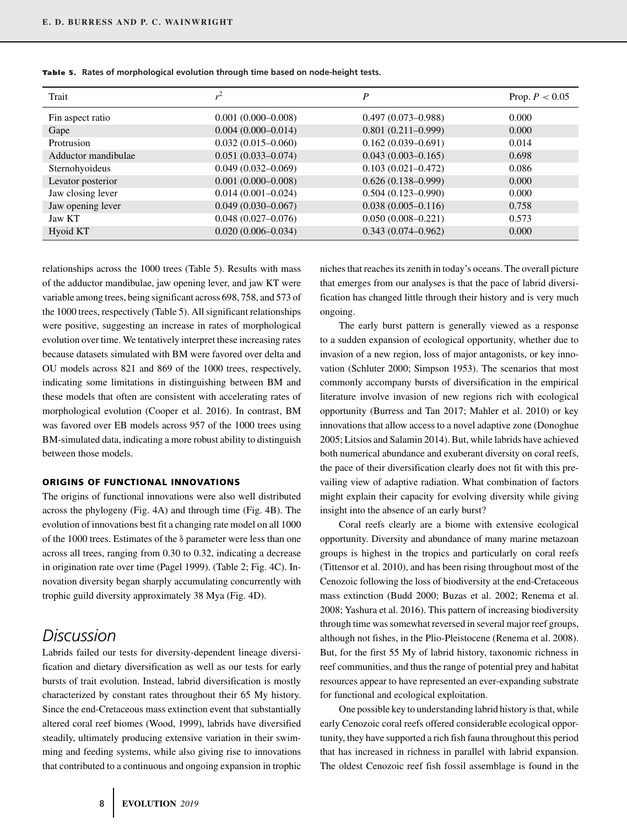| Trait               | $r^2$                  | P                      | Prop. $P < 0.05$ |
|---------------------|------------------------|------------------------|------------------|
| Fin aspect ratio    | $0.001(0.000 - 0.008)$ | $0.497(0.073 - 0.988)$ | 0.000            |
| Gape                | $0.004(0.000-0.014)$   | $0.801(0.211-0.999)$   | 0.000            |
| Protrusion          | $0.032(0.015-0.060)$   | $0.162(0.039-0.691)$   | 0.014            |
| Adductor mandibulae | $0.051(0.033 - 0.074)$ | $0.043(0.003 - 0.165)$ | 0.698            |
| Sternohyoideus      | $0.049(0.032 - 0.069)$ | $0.103(0.021 - 0.472)$ | 0.086            |
| Levator posterior   | $0.001(0.000 - 0.008)$ | $0.626(0.138 - 0.999)$ | 0.000            |
| Jaw closing lever   | $0.014(0.001 - 0.024)$ | $0.504(0.123 - 0.990)$ | 0.000            |
| Jaw opening lever   | $0.049(0.030-0.067)$   | $0.038(0.005 - 0.116)$ | 0.758            |
| Jaw KT              | $0.048(0.027-0.076)$   | $0.050(0.008 - 0.221)$ | 0.573            |
| Hyoid KT            | $0.020(0.006 - 0.034)$ | $0.343(0.074 - 0.962)$ | 0.000            |

Table 5. Rates of morphological evolution through time based on node-height tests.

relationships across the 1000 trees (Table 5). Results with mass of the adductor mandibulae, jaw opening lever, and jaw KT were variable among trees, being significant across 698, 758, and 573 of the 1000 trees, respectively (Table 5). All significant relationships were positive, suggesting an increase in rates of morphological evolution over time. We tentatively interpret these increasing rates because datasets simulated with BM were favored over delta and OU models across 821 and 869 of the 1000 trees, respectively, indicating some limitations in distinguishing between BM and these models that often are consistent with accelerating rates of morphological evolution (Cooper et al. 2016). In contrast, BM was favored over EB models across 957 of the 1000 trees using BM-simulated data, indicating a more robust ability to distinguish between those models.

### **ORIGINS OF FUNCTIONAL INNOVATIONS**

The origins of functional innovations were also well distributed across the phylogeny (Fig. 4A) and through time (Fig. 4B). The evolution of innovations best fit a changing rate model on all 1000 of the 1000 trees. Estimates of the δ parameter were less than one across all trees, ranging from 0.30 to 0.32, indicating a decrease in origination rate over time (Pagel 1999). (Table 2; Fig. 4C). Innovation diversity began sharply accumulating concurrently with trophic guild diversity approximately 38 Mya (Fig. 4D).

# *Discussion*

Labrids failed our tests for diversity-dependent lineage diversification and dietary diversification as well as our tests for early bursts of trait evolution. Instead, labrid diversification is mostly characterized by constant rates throughout their 65 My history. Since the end-Cretaceous mass extinction event that substantially altered coral reef biomes (Wood, 1999), labrids have diversified steadily, ultimately producing extensive variation in their swimming and feeding systems, while also giving rise to innovations that contributed to a continuous and ongoing expansion in trophic

niches that reaches its zenith in today's oceans. The overall picture that emerges from our analyses is that the pace of labrid diversification has changed little through their history and is very much ongoing.

The early burst pattern is generally viewed as a response to a sudden expansion of ecological opportunity, whether due to invasion of a new region, loss of major antagonists, or key innovation (Schluter 2000; Simpson 1953). The scenarios that most commonly accompany bursts of diversification in the empirical literature involve invasion of new regions rich with ecological opportunity (Burress and Tan 2017; Mahler et al. 2010) or key innovations that allow access to a novel adaptive zone (Donoghue 2005; Litsios and Salamin 2014). But, while labrids have achieved both numerical abundance and exuberant diversity on coral reefs, the pace of their diversification clearly does not fit with this prevailing view of adaptive radiation. What combination of factors might explain their capacity for evolving diversity while giving insight into the absence of an early burst?

Coral reefs clearly are a biome with extensive ecological opportunity. Diversity and abundance of many marine metazoan groups is highest in the tropics and particularly on coral reefs (Tittensor et al. 2010), and has been rising throughout most of the Cenozoic following the loss of biodiversity at the end-Cretaceous mass extinction (Budd 2000; Buzas et al. 2002; Renema et al. 2008; Yashura et al. 2016). This pattern of increasing biodiversity through time was somewhat reversed in several major reef groups, although not fishes, in the Plio-Pleistocene (Renema et al. 2008). But, for the first 55 My of labrid history, taxonomic richness in reef communities, and thus the range of potential prey and habitat resources appear to have represented an ever-expanding substrate for functional and ecological exploitation.

One possible key to understanding labrid history is that, while early Cenozoic coral reefs offered considerable ecological opportunity, they have supported a rich fish fauna throughout this period that has increased in richness in parallel with labrid expansion. The oldest Cenozoic reef fish fossil assemblage is found in the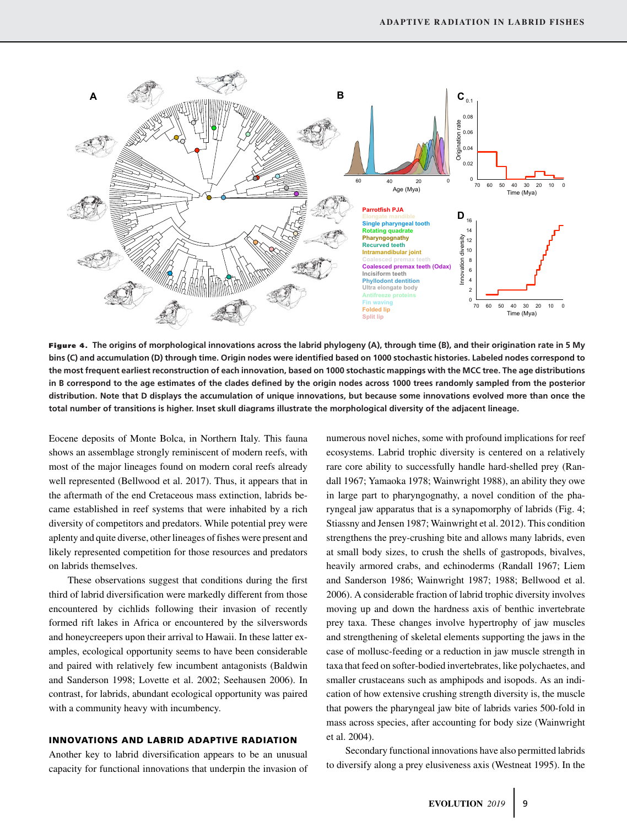

**Figure 4. The origins of morphological innovations across the labrid phylogeny (A), through time (B), and their origination rate in 5 My bins (C) and accumulation (D) through time. Origin nodes were identified based on 1000 stochastic histories. Labeled nodes correspond to the most frequent earliest reconstruction of each innovation, based on 1000 stochastic mappings with the MCC tree. The age distributions in B correspond to the age estimates of the clades defined by the origin nodes across 1000 trees randomly sampled from the posterior distribution. Note that D displays the accumulation of unique innovations, but because some innovations evolved more than once the total number of transitions is higher. Inset skull diagrams illustrate the morphological diversity of the adjacent lineage.**

Eocene deposits of Monte Bolca, in Northern Italy. This fauna shows an assemblage strongly reminiscent of modern reefs, with most of the major lineages found on modern coral reefs already well represented (Bellwood et al. 2017). Thus, it appears that in the aftermath of the end Cretaceous mass extinction, labrids became established in reef systems that were inhabited by a rich diversity of competitors and predators. While potential prey were aplenty and quite diverse, other lineages of fishes were present and likely represented competition for those resources and predators on labrids themselves.

These observations suggest that conditions during the first third of labrid diversification were markedly different from those encountered by cichlids following their invasion of recently formed rift lakes in Africa or encountered by the silverswords and honeycreepers upon their arrival to Hawaii. In these latter examples, ecological opportunity seems to have been considerable and paired with relatively few incumbent antagonists (Baldwin and Sanderson 1998; Lovette et al. 2002; Seehausen 2006). In contrast, for labrids, abundant ecological opportunity was paired with a community heavy with incumbency.

### **INNOVATIONS AND LABRID ADAPTIVE RADIATION**

Another key to labrid diversification appears to be an unusual capacity for functional innovations that underpin the invasion of numerous novel niches, some with profound implications for reef ecosystems. Labrid trophic diversity is centered on a relatively rare core ability to successfully handle hard-shelled prey (Randall 1967; Yamaoka 1978; Wainwright 1988), an ability they owe in large part to pharyngognathy, a novel condition of the pharyngeal jaw apparatus that is a synapomorphy of labrids (Fig. 4; Stiassny and Jensen 1987; Wainwright et al. 2012). This condition strengthens the prey-crushing bite and allows many labrids, even at small body sizes, to crush the shells of gastropods, bivalves, heavily armored crabs, and echinoderms (Randall 1967; Liem and Sanderson 1986; Wainwright 1987; 1988; Bellwood et al. 2006). A considerable fraction of labrid trophic diversity involves moving up and down the hardness axis of benthic invertebrate prey taxa. These changes involve hypertrophy of jaw muscles and strengthening of skeletal elements supporting the jaws in the case of mollusc-feeding or a reduction in jaw muscle strength in taxa that feed on softer-bodied invertebrates, like polychaetes, and smaller crustaceans such as amphipods and isopods. As an indication of how extensive crushing strength diversity is, the muscle that powers the pharyngeal jaw bite of labrids varies 500-fold in mass across species, after accounting for body size (Wainwright et al. 2004).

Secondary functional innovations have also permitted labrids to diversify along a prey elusiveness axis (Westneat 1995). In the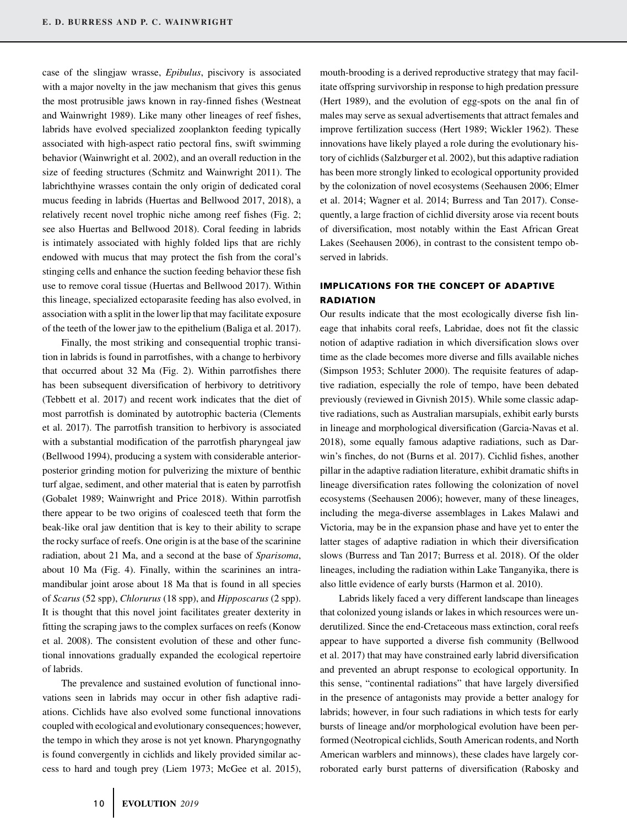case of the slingjaw wrasse, *Epibulus*, piscivory is associated with a major novelty in the jaw mechanism that gives this genus the most protrusible jaws known in ray-finned fishes (Westneat and Wainwright 1989). Like many other lineages of reef fishes, labrids have evolved specialized zooplankton feeding typically associated with high-aspect ratio pectoral fins, swift swimming behavior (Wainwright et al. 2002), and an overall reduction in the size of feeding structures (Schmitz and Wainwright 2011). The labrichthyine wrasses contain the only origin of dedicated coral mucus feeding in labrids (Huertas and Bellwood 2017, 2018), a relatively recent novel trophic niche among reef fishes (Fig. 2; see also Huertas and Bellwood 2018). Coral feeding in labrids is intimately associated with highly folded lips that are richly endowed with mucus that may protect the fish from the coral's stinging cells and enhance the suction feeding behavior these fish use to remove coral tissue (Huertas and Bellwood 2017). Within this lineage, specialized ectoparasite feeding has also evolved, in association with a split in the lower lip that may facilitate exposure of the teeth of the lower jaw to the epithelium (Baliga et al. 2017).

Finally, the most striking and consequential trophic transition in labrids is found in parrotfishes, with a change to herbivory that occurred about 32 Ma (Fig. 2). Within parrotfishes there has been subsequent diversification of herbivory to detritivory (Tebbett et al. 2017) and recent work indicates that the diet of most parrotfish is dominated by autotrophic bacteria (Clements et al. 2017). The parrotfish transition to herbivory is associated with a substantial modification of the parrotfish pharyngeal jaw (Bellwood 1994), producing a system with considerable anteriorposterior grinding motion for pulverizing the mixture of benthic turf algae, sediment, and other material that is eaten by parrotfish (Gobalet 1989; Wainwright and Price 2018). Within parrotfish there appear to be two origins of coalesced teeth that form the beak-like oral jaw dentition that is key to their ability to scrape the rocky surface of reefs. One origin is at the base of the scarinine radiation, about 21 Ma, and a second at the base of *Sparisoma*, about 10 Ma (Fig. 4). Finally, within the scarinines an intramandibular joint arose about 18 Ma that is found in all species of *Scarus* (52 spp), *Chlorurus* (18 spp), and *Hipposcarus* (2 spp). It is thought that this novel joint facilitates greater dexterity in fitting the scraping jaws to the complex surfaces on reefs (Konow et al. 2008). The consistent evolution of these and other functional innovations gradually expanded the ecological repertoire of labrids.

The prevalence and sustained evolution of functional innovations seen in labrids may occur in other fish adaptive radiations. Cichlids have also evolved some functional innovations coupled with ecological and evolutionary consequences; however, the tempo in which they arose is not yet known. Pharyngognathy is found convergently in cichlids and likely provided similar access to hard and tough prey (Liem 1973; McGee et al. 2015),

mouth-brooding is a derived reproductive strategy that may facilitate offspring survivorship in response to high predation pressure (Hert 1989), and the evolution of egg-spots on the anal fin of males may serve as sexual advertisements that attract females and improve fertilization success (Hert 1989; Wickler 1962). These innovations have likely played a role during the evolutionary history of cichlids (Salzburger et al. 2002), but this adaptive radiation has been more strongly linked to ecological opportunity provided by the colonization of novel ecosystems (Seehausen 2006; Elmer et al. 2014; Wagner et al. 2014; Burress and Tan 2017). Consequently, a large fraction of cichlid diversity arose via recent bouts of diversification, most notably within the East African Great Lakes (Seehausen 2006), in contrast to the consistent tempo observed in labrids.

### **IMPLICATIONS FOR THE CONCEPT OF ADAPTIVE RADIATION**

Our results indicate that the most ecologically diverse fish lineage that inhabits coral reefs, Labridae, does not fit the classic notion of adaptive radiation in which diversification slows over time as the clade becomes more diverse and fills available niches (Simpson 1953; Schluter 2000). The requisite features of adaptive radiation, especially the role of tempo, have been debated previously (reviewed in Givnish 2015). While some classic adaptive radiations, such as Australian marsupials, exhibit early bursts in lineage and morphological diversification (Garcia-Navas et al. 2018), some equally famous adaptive radiations, such as Darwin's finches, do not (Burns et al. 2017). Cichlid fishes, another pillar in the adaptive radiation literature, exhibit dramatic shifts in lineage diversification rates following the colonization of novel ecosystems (Seehausen 2006); however, many of these lineages, including the mega-diverse assemblages in Lakes Malawi and Victoria, may be in the expansion phase and have yet to enter the latter stages of adaptive radiation in which their diversification slows (Burress and Tan 2017; Burress et al. 2018). Of the older lineages, including the radiation within Lake Tanganyika, there is also little evidence of early bursts (Harmon et al. 2010).

Labrids likely faced a very different landscape than lineages that colonized young islands or lakes in which resources were underutilized. Since the end-Cretaceous mass extinction, coral reefs appear to have supported a diverse fish community (Bellwood et al. 2017) that may have constrained early labrid diversification and prevented an abrupt response to ecological opportunity. In this sense, "continental radiations" that have largely diversified in the presence of antagonists may provide a better analogy for labrids; however, in four such radiations in which tests for early bursts of lineage and/or morphological evolution have been performed (Neotropical cichlids, South American rodents, and North American warblers and minnows), these clades have largely corroborated early burst patterns of diversification (Rabosky and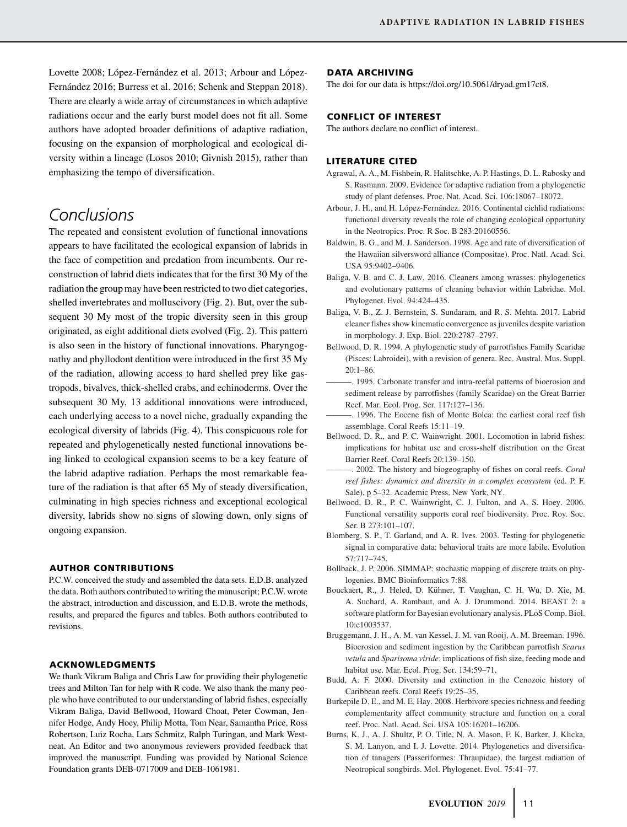Lovette 2008; López-Fernández et al. 2013; Arbour and López-Fernández 2016; Burress et al. 2016; Schenk and Steppan 2018). There are clearly a wide array of circumstances in which adaptive radiations occur and the early burst model does not fit all. Some authors have adopted broader definitions of adaptive radiation, focusing on the expansion of morphological and ecological diversity within a lineage (Losos 2010; Givnish 2015), rather than emphasizing the tempo of diversification.

# *Conclusions*

The repeated and consistent evolution of functional innovations appears to have facilitated the ecological expansion of labrids in the face of competition and predation from incumbents. Our reconstruction of labrid diets indicates that for the first 30 My of the radiation the group may have been restricted to two diet categories, shelled invertebrates and molluscivory (Fig. 2). But, over the subsequent 30 My most of the tropic diversity seen in this group originated, as eight additional diets evolved (Fig. 2). This pattern is also seen in the history of functional innovations. Pharyngognathy and phyllodont dentition were introduced in the first 35 My of the radiation, allowing access to hard shelled prey like gastropods, bivalves, thick-shelled crabs, and echinoderms. Over the subsequent 30 My, 13 additional innovations were introduced, each underlying access to a novel niche, gradually expanding the ecological diversity of labrids (Fig. 4). This conspicuous role for repeated and phylogenetically nested functional innovations being linked to ecological expansion seems to be a key feature of the labrid adaptive radiation. Perhaps the most remarkable feature of the radiation is that after 65 My of steady diversification, culminating in high species richness and exceptional ecological diversity, labrids show no signs of slowing down, only signs of ongoing expansion.

### **AUTHOR CONTRIBUTIONS**

P.C.W. conceived the study and assembled the data sets. E.D.B. analyzed the data. Both authors contributed to writing the manuscript; P.C.W. wrote the abstract, introduction and discussion, and E.D.B. wrote the methods, results, and prepared the figures and tables. Both authors contributed to revisions.

### **ACKNOWLEDGMENTS**

We thank Vikram Baliga and Chris Law for providing their phylogenetic trees and Milton Tan for help with R code. We also thank the many people who have contributed to our understanding of labrid fishes, especially Vikram Baliga, David Bellwood, Howard Choat, Peter Cowman, Jennifer Hodge, Andy Hoey, Philip Motta, Tom Near, Samantha Price, Ross Robertson, Luiz Rocha, Lars Schmitz, Ralph Turingan, and Mark Westneat. An Editor and two anonymous reviewers provided feedback that improved the manuscript. Funding was provided by National Science Foundation grants DEB-0717009 and DEB-1061981.

#### **DATA ARCHIVING**

The doi for our data is [https://doi.org/10.5061/dryad.gm17ct8.](https://doi.org/10.5061/dryad.gm17ct8)

### **CONFLICT OF INTEREST**

The authors declare no conflict of interest.

#### **LITERATURE CITED**

- Agrawal, A. A., M. Fishbein, R. Halitschke, A. P. Hastings, D. L. Rabosky and S. Rasmann. 2009. Evidence for adaptive radiation from a phylogenetic study of plant defenses. Proc. Nat. Acad. Sci. 106:18067–18072.
- Arbour, J. H., and H. López-Fernández. 2016. Continental cichlid radiations: functional diversity reveals the role of changing ecological opportunity in the Neotropics. Proc. R Soc. B 283:20160556.
- Baldwin, B. G., and M. J. Sanderson. 1998. Age and rate of diversification of the Hawaiian silversword alliance (Compositae). Proc. Natl. Acad. Sci. USA 95:9402–9406.
- Baliga, V. B. and C. J. Law. 2016. Cleaners among wrasses: phylogenetics and evolutionary patterns of cleaning behavior within Labridae. Mol. Phylogenet. Evol. 94:424–435.
- Baliga, V. B., Z. J. Bernstein, S. Sundaram, and R. S. Mehta. 2017. Labrid cleaner fishes show kinematic convergence as juveniles despite variation in morphology. J. Exp. Biol. 220:2787–2797.
- Bellwood, D. R. 1994. A phylogenetic study of parrotfishes Family Scaridae (Pisces: Labroidei), with a revision of genera. Rec. Austral. Mus. Suppl. 20:1–86.
- ———. 1995. Carbonate transfer and intra-reefal patterns of bioerosion and sediment release by parrotfishes (family Scaridae) on the Great Barrier Reef. Mar. Ecol. Prog. Ser. 117:127–136.
- ———. 1996. The Eocene fish of Monte Bolca: the earliest coral reef fish assemblage. Coral Reefs 15:11–19.
- Bellwood, D. R., and P. C. Wainwright. 2001. Locomotion in labrid fishes: implications for habitat use and cross-shelf distribution on the Great Barrier Reef. Coral Reefs 20:139–150.
- ———. 2002. The history and biogeography of fishes on coral reefs. *Coral reef fishes: dynamics and diversity in a complex ecosystem* (ed. P. F. Sale), p 5–32. Academic Press, New York, NY.
- Bellwood, D. R., P. C. Wainwright, C. J. Fulton, and A. S. Hoey. 2006. Functional versatility supports coral reef biodiversity. Proc. Roy. Soc. Ser. B 273:101–107.
- Blomberg, S. P., T. Garland, and A. R. Ives. 2003. Testing for phylogenetic signal in comparative data: behavioral traits are more labile. Evolution 57:717–745.
- Bollback, J. P. 2006. SIMMAP: stochastic mapping of discrete traits on phylogenies. BMC Bioinformatics 7:88.
- Bouckaert, R., J. Heled, D. Kuhner, T. Vaughan, C. H. Wu, D. Xie, M. ¨ A. Suchard, A. Rambaut, and A. J. Drummond. 2014. BEAST 2: a software platform for Bayesian evolutionary analysis. PLoS Comp. Biol. 10:e1003537.
- Bruggemann, J. H., A. M. van Kessel, J. M. van Rooij, A. M. Breeman. 1996. Bioerosion and sediment ingestion by the Caribbean parrotfish *Scarus vetula* and *Sparisoma viride*: implications of fish size, feeding mode and habitat use. Mar. Ecol. Prog. Ser. 134:59–71.
- Budd, A. F. 2000. Diversity and extinction in the Cenozoic history of Caribbean reefs. Coral Reefs 19:25–35.
- Burkepile D. E., and M. E. Hay. 2008. Herbivore species richness and feeding complementarity affect community structure and function on a coral reef. Proc. Natl. Acad. Sci. USA 105:16201–16206.
- Burns, K. J., A. J. Shultz, P. O. Title, N. A. Mason, F. K. Barker, J. Klicka, S. M. Lanyon, and I. J. Lovette. 2014. Phylogenetics and diversification of tanagers (Passeriformes: Thraupidae), the largest radiation of Neotropical songbirds. Mol. Phylogenet. Evol. 75:41–77.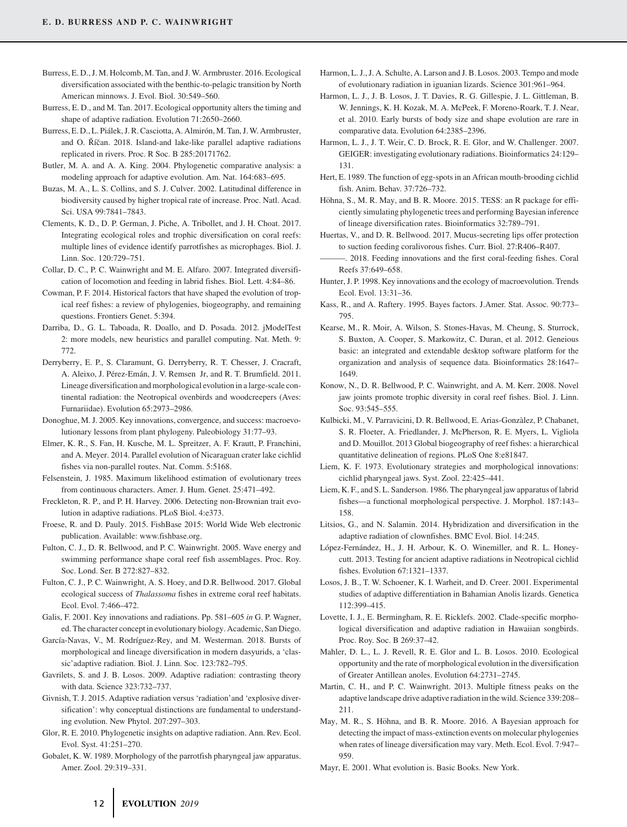- Burress, E. D., J. M. Holcomb, M. Tan, and J. W. Armbruster. 2016. Ecological diversification associated with the benthic-to-pelagic transition by North American minnows. J. Evol. Biol. 30:549–560.
- Burress, E. D., and M. Tan. 2017. Ecological opportunity alters the timing and shape of adaptive radiation. Evolution 71:2650–2660.
- Burress, E. D., L. Piálek, J. R. Casciotta, A. Almirón, M. Tan, J. W. Armbruster, and O. Říčan. 2018. Island-and lake-like parallel adaptive radiations replicated in rivers. Proc. R Soc. B 285:20171762.
- Butler, M. A. and A. A. King. 2004. Phylogenetic comparative analysis: a modeling approach for adaptive evolution. Am. Nat. 164:683–695.
- Buzas, M. A., L. S. Collins, and S. J. Culver. 2002. Latitudinal difference in biodiversity caused by higher tropical rate of increase. Proc. Natl. Acad. Sci. USA 99:7841–7843.
- Clements, K. D., D. P. German, J. Piche, A. Tribollet, and J. H. Choat. 2017. Integrating ecological roles and trophic diversification on coral reefs: multiple lines of evidence identify parrotfishes as microphages. Biol. J. Linn. Soc. 120:729–751.
- Collar, D. C., P. C. Wainwright and M. E. Alfaro. 2007. Integrated diversification of locomotion and feeding in labrid fishes. Biol. Lett. 4:84–86.
- Cowman, P. F. 2014. Historical factors that have shaped the evolution of tropical reef fishes: a review of phylogenies, biogeography, and remaining questions. Frontiers Genet. 5:394.
- Darriba, D., G. L. Taboada, R. Doallo, and D. Posada. 2012. jModelTest 2: more models, new heuristics and parallel computing. Nat. Meth. 9: 772.
- Derryberry, E. P., S. Claramunt, G. Derryberry, R. T. Chesser, J. Cracraft, A. Aleixo, J. Pérez-Emán, J. V. Remsen Jr, and R. T. Brumfield. 2011. Lineage diversification and morphological evolution in a large-scale continental radiation: the Neotropical ovenbirds and woodcreepers (Aves: Furnariidae). Evolution 65:2973–2986.
- Donoghue, M. J. 2005. Key innovations, convergence, and success: macroevolutionary lessons from plant phylogeny. Paleobiology 31:77–93.
- Elmer, K. R., S. Fan, H. Kusche, M. L. Spreitzer, A. F. Krautt, P. Franchini, and A. Meyer. 2014. Parallel evolution of Nicaraguan crater lake cichlid fishes via non-parallel routes. Nat. Comm. 5:5168.
- Felsenstein, J. 1985. Maximum likelihood estimation of evolutionary trees from continuous characters. Amer. J. Hum. Genet. 25:471–492.
- Freckleton, R. P., and P. H. Harvey. 2006. Detecting non-Brownian trait evolution in adaptive radiations. PLoS Biol. 4:e373.
- Froese, R. and D. Pauly. 2015. FishBase 2015: World Wide Web electronic publication. Available: [www.fishbase.org.](https://www.fishbase.org)
- Fulton, C. J., D. R. Bellwood, and P. C. Wainwright. 2005. Wave energy and swimming performance shape coral reef fish assemblages. Proc. Roy. Soc. Lond. Ser. B 272:827–832.
- Fulton, C. J., P. C. Wainwright, A. S. Hoey, and D.R. Bellwood. 2017. Global ecological success of *Thalassoma* fishes in extreme coral reef habitats. Ecol. Evol. 7:466–472.
- Galis, F. 2001. Key innovations and radiations. Pp. 581–605 *in* G. P. Wagner, ed. The character concept in evolutionary biology. Academic, San Diego.
- García-Navas, V., M. Rodríguez-Rey, and M. Westerman. 2018. Bursts of morphological and lineage diversification in modern dasyurids, a 'classic'adaptive radiation. Biol. J. Linn. Soc. 123:782–795.
- Gavrilets, S. and J. B. Losos. 2009. Adaptive radiation: contrasting theory with data. Science 323:732–737.
- Givnish, T. J. 2015. Adaptive radiation versus 'radiation'and 'explosive diversification': why conceptual distinctions are fundamental to understanding evolution. New Phytol. 207:297–303.
- Glor, R. E. 2010. Phylogenetic insights on adaptive radiation. Ann. Rev. Ecol. Evol. Syst. 41:251–270.
- Gobalet, K. W. 1989. Morphology of the parrotfish pharyngeal jaw apparatus. Amer. Zool. 29:319–331.
- Harmon, L. J., J. A. Schulte, A. Larson and J. B. Losos. 2003. Tempo and mode of evolutionary radiation in iguanian lizards. Science 301:961–964.
- Harmon, L. J., J. B. Losos, J. T. Davies, R. G. Gillespie, J. L. Gittleman, B. W. Jennings, K. H. Kozak, M. A. McPeek, F. Moreno-Roark, T. J. Near, et al. 2010. Early bursts of body size and shape evolution are rare in comparative data. Evolution 64:2385–2396.
- Harmon, L. J., J. T. Weir, C. D. Brock, R. E. Glor, and W. Challenger. 2007. GEIGER: investigating evolutionary radiations. Bioinformatics 24:129– 131.
- Hert, E. 1989. The function of egg-spots in an African mouth-brooding cichlid fish. Anim. Behav. 37:726–732.
- Höhna, S., M. R. May, and B. R. Moore. 2015. TESS: an R package for efficiently simulating phylogenetic trees and performing Bayesian inference of lineage diversification rates. Bioinformatics 32:789–791.
- Huertas, V., and D. R. Bellwood. 2017. Mucus-secreting lips offer protection to suction feeding coralivorous fishes. Curr. Biol. 27:R406–R407.
- 2018. Feeding innovations and the first coral-feeding fishes. Coral Reefs 37:649–658.
- Hunter, J. P. 1998. Key innovations and the ecology of macroevolution. Trends Ecol. Evol. 13:31–36.
- Kass, R., and A. Raftery. 1995. Bayes factors. J.Amer. Stat. Assoc. 90:773– 795.
- Kearse, M., R. Moir, A. Wilson, S. Stones-Havas, M. Cheung, S. Sturrock, S. Buxton, A. Cooper, S. Markowitz, C. Duran, et al. 2012. Geneious basic: an integrated and extendable desktop software platform for the organization and analysis of sequence data. Bioinformatics 28:1647– 1649.
- Konow, N., D. R. Bellwood, P. C. Wainwright, and A. M. Kerr. 2008. Novel jaw joints promote trophic diversity in coral reef fishes. Biol. J. Linn. Soc. 93:545–555.
- Kulbicki, M., V. Parravicini, D. R. Bellwood, E. Arias-Gonzalez, P. Chabanet, ` S. R. Floeter, A. Friedlander, J. McPherson, R. E. Myers, L. Vigliola and D. Mouillot. 2013 Global biogeography of reef fishes: a hierarchical quantitative delineation of regions. PLoS One 8:e81847.
- Liem, K. F. 1973. Evolutionary strategies and morphological innovations: cichlid pharyngeal jaws. Syst. Zool. 22:425–441.
- Liem, K. F., and S. L. Sanderson. 1986. The pharyngeal jaw apparatus of labrid fishes—a functional morphological perspective. J. Morphol. 187:143– 158.
- Litsios, G., and N. Salamin. 2014. Hybridization and diversification in the adaptive radiation of clownfishes. BMC Evol. Biol. 14:245.
- López-Fernández, H., J. H. Arbour, K. O. Winemiller, and R. L. Honeycutt. 2013. Testing for ancient adaptive radiations in Neotropical cichlid fishes. Evolution 67:1321–1337.
- Losos, J. B., T. W. Schoener, K. I. Warheit, and D. Creer. 2001. Experimental studies of adaptive differentiation in Bahamian Anolis lizards. Genetica 112:399–415.
- Lovette, I. J., E. Bermingham, R. E. Ricklefs. 2002. Clade-specific morphological diversification and adaptive radiation in Hawaiian songbirds. Proc. Roy. Soc. B 269:37–42.
- Mahler, D. L., L. J. Revell, R. E. Glor and L. B. Losos. 2010. Ecological opportunity and the rate of morphological evolution in the diversification of Greater Antillean anoles. Evolution 64:2731–2745.
- Martin, C. H., and P. C. Wainwright. 2013. Multiple fitness peaks on the adaptive landscape drive adaptive radiation in the wild. Science 339:208– 211.
- May, M. R., S. Höhna, and B. R. Moore. 2016. A Bayesian approach for detecting the impact of mass-extinction events on molecular phylogenies when rates of lineage diversification may vary. Meth. Ecol. Evol. 7:947– 959.
- Mayr, E. 2001. What evolution is. Basic Books. New York.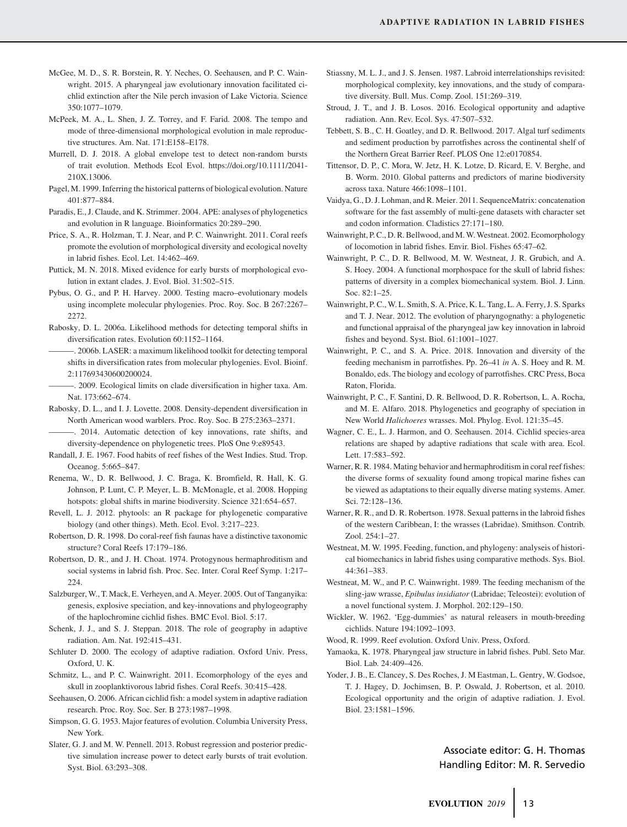- McGee, M. D., S. R. Borstein, R. Y. Neches, O. Seehausen, and P. C. Wainwright. 2015. A pharyngeal jaw evolutionary innovation facilitated cichlid extinction after the Nile perch invasion of Lake Victoria. Science 350:1077–1079.
- McPeek, M. A., L. Shen, J. Z. Torrey, and F. Farid. 2008. The tempo and mode of three-dimensional morphological evolution in male reproductive structures. Am. Nat. 171:E158–E178.
- Murrell, D. J. 2018. A global envelope test to detect non-random bursts of trait evolution. Methods Ecol Evol. [https://doi.org/10.1111/2041-](https://doi.org/10.1111/2041-210X.13006) [210X.13006.](https://doi.org/10.1111/2041-210X.13006)
- Pagel, M. 1999. Inferring the historical patterns of biological evolution. Nature 401:877–884.
- Paradis, E., J. Claude, and K. Strimmer. 2004. APE: analyses of phylogenetics and evolution in R language. Bioinformatics 20:289–290.
- Price, S. A., R. Holzman, T. J. Near, and P. C. Wainwright. 2011. Coral reefs promote the evolution of morphological diversity and ecological novelty in labrid fishes. Ecol. Let. 14:462–469.
- Puttick, M. N. 2018. Mixed evidence for early bursts of morphological evolution in extant clades. J. Evol. Biol. 31:502–515.
- Pybus, O. G., and P. H. Harvey. 2000. Testing macro–evolutionary models using incomplete molecular phylogenies. Proc. Roy. Soc. B 267:2267– 2272.
- Rabosky, D. L. 2006a. Likelihood methods for detecting temporal shifts in diversification rates. Evolution 60:1152–1164.
- -. 2006b. LASER: a maximum likelihood toolkit for detecting temporal shifts in diversification rates from molecular phylogenies. Evol. Bioinf. 2:117693430600200024.
- -. 2009. Ecological limits on clade diversification in higher taxa. Am. Nat. 173:662–674.
- Rabosky, D. L., and I. J. Lovette. 2008. Density-dependent diversification in North American wood warblers. Proc. Roy. Soc. B 275:2363–2371.
- ———. 2014. Automatic detection of key innovations, rate shifts, and diversity-dependence on phylogenetic trees. PloS One 9:e89543.
- Randall, J. E. 1967. Food habits of reef fishes of the West Indies. Stud. Trop. Oceanog. 5:665–847.
- Renema, W., D. R. Bellwood, J. C. Braga, K. Bromfield, R. Hall, K. G. Johnson, P. Lunt, C. P. Meyer, L. B. McMonagle, et al. 2008. Hopping hotspots: global shifts in marine biodiversity. Science 321:654–657.
- Revell, L. J. 2012. phytools: an R package for phylogenetic comparative biology (and other things). Meth. Ecol. Evol. 3:217–223.
- Robertson, D. R. 1998. Do coral-reef fish faunas have a distinctive taxonomic structure? Coral Reefs 17:179–186.
- Robertson, D. R., and J. H. Choat. 1974. Protogynous hermaphroditism and social systems in labrid fish. Proc. Sec. Inter. Coral Reef Symp. 1:217– 224.
- Salzburger, W., T. Mack, E. Verheyen, and A. Meyer. 2005. Out of Tanganyika: genesis, explosive speciation, and key-innovations and phylogeography of the haplochromine cichlid fishes. BMC Evol. Biol. 5:17.
- Schenk, J. J., and S. J. Steppan. 2018. The role of geography in adaptive radiation. Am. Nat. 192:415–431.
- Schluter D. 2000. The ecology of adaptive radiation. Oxford Univ. Press, Oxford, U. K.
- Schmitz, L., and P. C. Wainwright. 2011. Ecomorphology of the eyes and skull in zooplanktivorous labrid fishes. Coral Reefs. 30:415–428.
- Seehausen, O. 2006. African cichlid fish: a model system in adaptive radiation research. Proc. Roy. Soc. Ser. B 273:1987–1998.
- Simpson, G. G. 1953. Major features of evolution. Columbia University Press, New York.
- Slater, G. J. and M. W. Pennell. 2013. Robust regression and posterior predictive simulation increase power to detect early bursts of trait evolution. Syst. Biol. 63:293–308.
- Stiassny, M. L. J., and J. S. Jensen. 1987. Labroid interrelationships revisited: morphological complexity, key innovations, and the study of comparative diversity. Bull. Mus. Comp. Zool. 151:269–319.
- Stroud, J. T., and J. B. Losos. 2016. Ecological opportunity and adaptive radiation. Ann. Rev. Ecol. Sys. 47:507–532.
- Tebbett, S. B., C. H. Goatley, and D. R. Bellwood. 2017. Algal turf sediments and sediment production by parrotfishes across the continental shelf of the Northern Great Barrier Reef. PLOS One 12:e0170854.
- Tittensor, D. P., C. Mora, W. Jetz, H. K. Lotze, D. Ricard, E. V. Berghe, and B. Worm. 2010. Global patterns and predictors of marine biodiversity across taxa. Nature 466:1098–1101.
- Vaidya, G., D. J. Lohman, and R. Meier. 2011. SequenceMatrix: concatenation software for the fast assembly of multi-gene datasets with character set and codon information. Cladistics 27:171–180.
- Wainwright, P. C., D. R. Bellwood, and M. W. Westneat. 2002. Ecomorphology of locomotion in labrid fishes. Envir. Biol. Fishes 65:47–62.
- Wainwright, P. C., D. R. Bellwood, M. W. Westneat, J. R. Grubich, and A. S. Hoey. 2004. A functional morphospace for the skull of labrid fishes: patterns of diversity in a complex biomechanical system. Biol. J. Linn. Soc. 82:1–25.
- Wainwright, P. C., W. L. Smith, S. A. Price, K. L. Tang, L. A. Ferry, J. S. Sparks and T. J. Near. 2012. The evolution of pharyngognathy: a phylogenetic and functional appraisal of the pharyngeal jaw key innovation in labroid fishes and beyond. Syst. Biol. 61:1001–1027.
- Wainwright, P. C., and S. A. Price. 2018. Innovation and diversity of the feeding mechanism in parrotfishes. Pp. 26–41 *in* A. S. Hoey and R. M. Bonaldo, eds. The biology and ecology of parrotfishes. CRC Press, Boca Raton, Florida.
- Wainwright, P. C., F. Santini, D. R. Bellwood, D. R. Robertson, L. A. Rocha, and M. E. Alfaro. 2018. Phylogenetics and geography of speciation in New World *Halichoeres* wrasses. Mol. Phylog. Evol. 121:35–45.
- Wagner, C. E., L. J. Harmon, and O. Seehausen. 2014. Cichlid species-area relations are shaped by adaptive radiations that scale with area. Ecol. Lett. 17:583–592.
- Warner, R. R. 1984. Mating behavior and hermaphroditism in coral reef fishes: the diverse forms of sexuality found among tropical marine fishes can be viewed as adaptations to their equally diverse mating systems. Amer. Sci. 72:128–136.
- Warner, R. R., and D. R. Robertson. 1978. Sexual patterns in the labroid fishes of the western Caribbean, I: the wrasses (Labridae). Smithson. Contrib. Zool. 254:1–27.
- Westneat, M. W. 1995. Feeding, function, and phylogeny: analyseis of historical biomechanics in labrid fishes using comparative methods. Sys. Biol. 44:361–383.
- Westneat, M. W., and P. C. Wainwright. 1989. The feeding mechanism of the sling-jaw wrasse, *Epibulus insidiator* (Labridae; Teleostei): evolution of a novel functional system. J. Morphol. 202:129–150.
- Wickler, W. 1962. 'Egg-dummies' as natural releasers in mouth-breeding cichlids. Nature 194:1092–1093.
- Wood, R. 1999. Reef evolution. Oxford Univ. Press, Oxford.
- Yamaoka, K. 1978. Pharyngeal jaw structure in labrid fishes. Publ. Seto Mar. Biol. Lab. 24:409–426.
- Yoder, J. B., E. Clancey, S. Des Roches, J. M Eastman, L. Gentry, W. Godsoe, T. J. Hagey, D. Jochimsen, B. P. Oswald, J. Robertson, et al. 2010. Ecological opportunity and the origin of adaptive radiation. J. Evol. Biol. 23:1581–1596.

### Associate editor: G. H. Thomas Handling Editor: M. R. Servedio